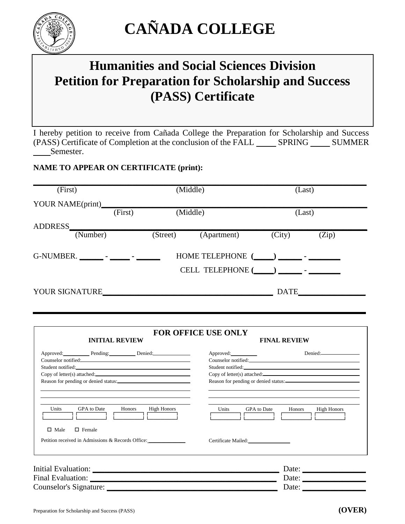

# **CAÑADA COLLEGE**

## **Humanities and Social Sciences Division Petition for Preparation for Scholarship and Success (PASS) Certificate**

I hereby petition to receive from Cañada College the Preparation for Scholarship and Success  $(PASS)$  Certificate of Completion at the conclusion of the FALL  $\_\_\_\$  SPRING  $\_\_\_\_\$  SUMMER Semester.

#### **NAME TO APPEAR ON CERTIFICATE (print):**

| (First)                    |         | (Middle)                                                            |             | (Last)      |       |
|----------------------------|---------|---------------------------------------------------------------------|-------------|-------------|-------|
| YOUR NAME(print)           | (First) | (Middle)                                                            |             | (Last)      |       |
| <b>ADDRESS</b><br>(Number) |         | (Street)                                                            | (Apartment) | (City)      | (Zip) |
| G-NUMBER.                  |         | $HOME TELEPHONE$ $(\_\_\_\_\_\_\_$<br>CELL TELEPHONE $(\_\_\_\_\_\$ |             |             |       |
| <b>YOUR SIGNATURE</b>      |         |                                                                     |             | <b>DATE</b> |       |

| Approved:<br>Approved: Pending: Denied:<br>Counselor notified:<br><u>Counselor notified:</u><br>Student notified:<br>Copy of letter(s) attached:<br>Reason for pending or denied status:<br><b>GPA</b> to Date<br>Units<br><b>High Honors</b><br><b>Honors</b><br><b>Units</b><br><b>GPA</b> to Date<br><b>High Honors</b><br>Honors<br>$\Box$ Male<br>$\Box$ Female<br>Petition received in Admissions & Records Office:<br>Certificate Mailed: | <b>FOR OFFICE USE ONLY</b><br><b>INITIAL REVIEW</b><br><b>FINAL REVIEW</b> |                                                                   |  |  |  |
|--------------------------------------------------------------------------------------------------------------------------------------------------------------------------------------------------------------------------------------------------------------------------------------------------------------------------------------------------------------------------------------------------------------------------------------------------|----------------------------------------------------------------------------|-------------------------------------------------------------------|--|--|--|
|                                                                                                                                                                                                                                                                                                                                                                                                                                                  |                                                                            | Denied:                                                           |  |  |  |
|                                                                                                                                                                                                                                                                                                                                                                                                                                                  |                                                                            |                                                                   |  |  |  |
| Counselor's Signature:                                                                                                                                                                                                                                                                                                                                                                                                                           |                                                                            | Date: $\frac{1}{\sqrt{1-\frac{1}{2}} \cdot \frac{1}{2}}$<br>Date: |  |  |  |